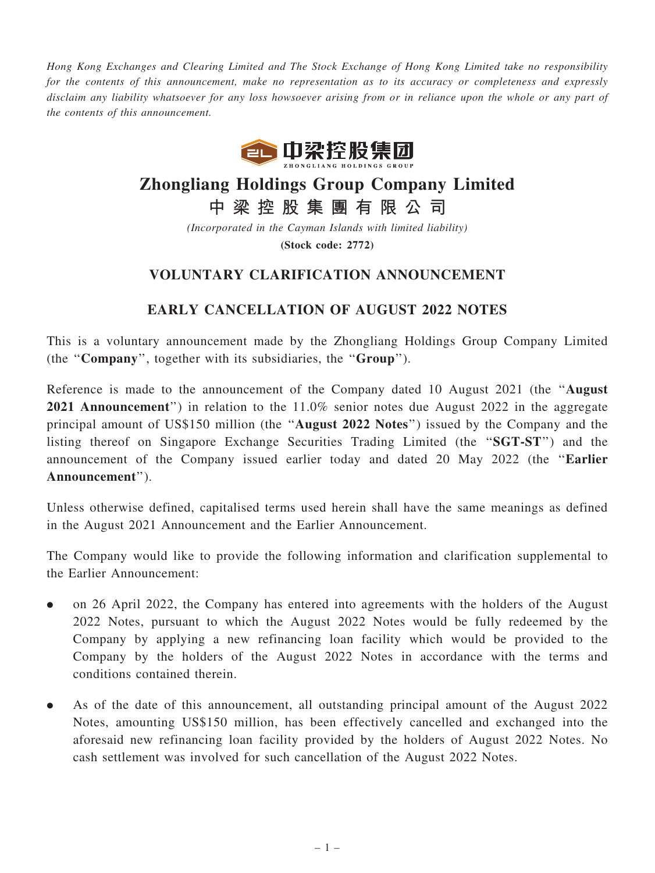Hong Kong Exchanges and Clearing Limited and The Stock Exchange of Hong Kong Limited take no responsibility for the contents of this announcement, make no representation as to its accuracy or completeness and expressly disclaim any liability whatsoever for any loss howsoever arising from or in reliance upon the whole or any part of the contents of this announcement.



## Zhongliang Holdings Group Company Limited

中 梁 控 股 集 團 有 限 公 司

(Incorporated in the Cayman Islands with limited liability) (Stock code: 2772)

## VOLUNTARY CLARIFICATION ANNOUNCEMENT

## EARLY CANCELLATION OF AUGUST 2022 NOTES

This is a voluntary announcement made by the Zhongliang Holdings Group Company Limited (the ''Company'', together with its subsidiaries, the ''Group'').

Reference is made to the announcement of the Company dated 10 August 2021 (the ''August 2021 Announcement'') in relation to the 11.0% senior notes due August 2022 in the aggregate principal amount of US\$150 million (the ''August 2022 Notes'') issued by the Company and the listing thereof on Singapore Exchange Securities Trading Limited (the ''SGT-ST'') and the announcement of the Company issued earlier today and dated 20 May 2022 (the ''Earlier Announcement'').

Unless otherwise defined, capitalised terms used herein shall have the same meanings as defined in the August 2021 Announcement and the Earlier Announcement.

The Company would like to provide the following information and clarification supplemental to the Earlier Announcement:

- . on 26 April 2022, the Company has entered into agreements with the holders of the August 2022 Notes, pursuant to which the August 2022 Notes would be fully redeemed by the Company by applying a new refinancing loan facility which would be provided to the Company by the holders of the August 2022 Notes in accordance with the terms and conditions contained therein.
- . As of the date of this announcement, all outstanding principal amount of the August 2022 Notes, amounting US\$150 million, has been effectively cancelled and exchanged into the aforesaid new refinancing loan facility provided by the holders of August 2022 Notes. No cash settlement was involved for such cancellation of the August 2022 Notes.